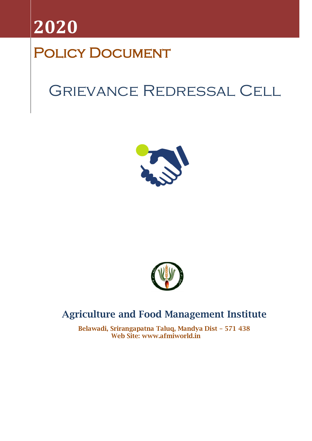

# POLICY DOCUMENT

# Grievance Redressal Cell





## **Agriculture and Food Management Institute**

**Belawadi, Srirangapatna Taluq, Mandya Dist – 571 438 Web Site: www.afmiworld.in**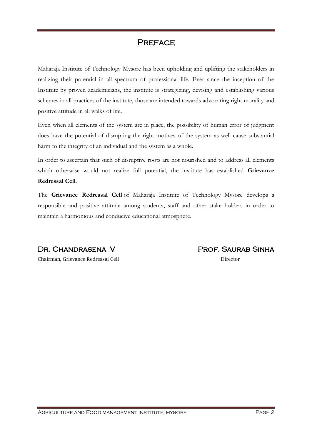### **PREFACE**

Maharaja Institute of Technology Mysore has been upholding and uplifting the stakeholders in realizing their potential in all spectrum of professional life. Ever since the inception of the Institute by proven academicians, the institute is strategizing, devising and establishing various schemes in all practices of the institute, those are intended towards advocating right morality and positive attitude in all walks of life.

Even when all elements of the system are in place, the possibility of human error of judgment does have the potential of disrupting the right motives of the system as well cause substantial harm to the integrity of an individual and the system as a whole.

In order to ascertain that such of disruptive roots are not nourished and to address all elements which otherwise would not realize full potential, the institute has established **Grievance Redressal Cell**.

The **Grievance Redressal Cell** of Maharaja Institute of Technology Mysore develops a responsible and positive attitude among students, staff and other stake holders in order to maintain a harmonious and conducive educational atmosphere.

Dr. Chandrasena V

Chairman, Grievance Redressal Cell

Prof. Saurab Sinha

Director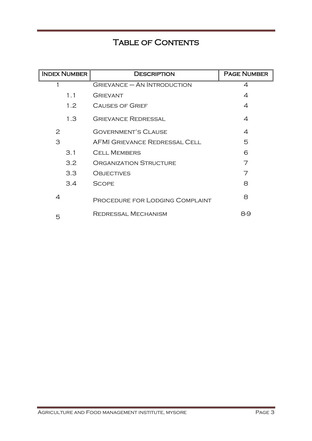### TABLE OF CONTENTS

| <b>INDEX NUMBER</b> | <b>DESCRIPTION</b>                   | <b>PAGE NUMBER</b> |
|---------------------|--------------------------------------|--------------------|
|                     | $GRIEVANCE - AN INTRODUCTION$        | 4                  |
| 1.1                 | <b>GRIEVANT</b>                      | 4                  |
| 1.2                 | <b>CAUSES OF GRIEF</b>               | 4                  |
| 1.3                 | <b>GRIEVANCE REDRESSAL</b>           | 4                  |
| 2                   | <b>GOVERNMENT'S CLAUSE</b>           | 4                  |
| 3                   | <b>AFMI GRIEVANCE REDRESSAL CELL</b> | 5                  |
| 3.1                 | <b>CELL MEMBERS</b>                  | 6                  |
| 3.2                 | <b>ORGANIZATION STRUCTURE</b>        | 7                  |
| 3.3 <sub>2</sub>    | <b>OBJECTIVES</b>                    | 7                  |
| 3.4                 | <b>SCOPE</b>                         | 8                  |
| 4                   | PROCEDURE FOR LODGING COMPLAINT      | 8                  |
| 5                   | <b>REDRESSAL MECHANISM</b>           | 8-9                |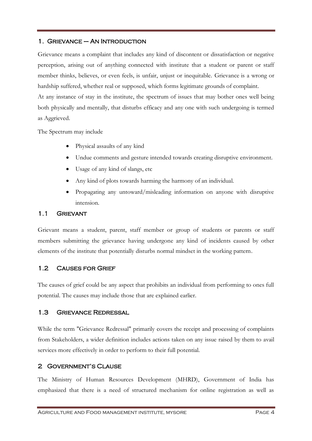#### 1. Grievance – An Introduction

Grievance means a complaint that includes any kind of discontent or dissatisfaction or negative perception, arising out of anything connected with institute that a student or parent or staff member thinks, believes, or even feels, is unfair, unjust or inequitable. Grievance is a wrong or hardship suffered, whether real or supposed, which forms legitimate grounds of complaint. At any instance of stay in the institute, the spectrum of issues that may bother ones well being both physically and mentally, that disturbs efficacy and any one with such undergoing is termed as Aggrieved.

The Spectrum may include

- Physical assaults of any kind
- Undue comments and gesture intended towards creating disruptive environment.
- Usage of any kind of slangs, etc
- Any kind of plots towards harming the harmony of an individual.
- Propagating any untoward/misleading information on anyone with disruptive intension.

#### 1.1 Grievant

Grievant means a student, parent, staff member or group of students or parents or staff members submitting the grievance having undergone any kind of incidents caused by other elements of the institute that potentially disturbs normal mindset in the working pattern.

#### 1.2 Causes for Grief

The causes of grief could be any aspect that prohibits an individual from performing to ones full potential. The causes may include those that are explained earlier.

#### 1.3 Grievance Redressal

While the term "Grievance Redressal" primarily covers the receipt and processing of complaints from Stakeholders, a wider definition includes actions taken on any issue raised by them to avail services more effectively in order to perform to their full potential.

#### 2 Government's Clause

The Ministry of Human Resources Development (MHRD), Government of India has emphasized that there is a need of structured mechanism for online registration as well as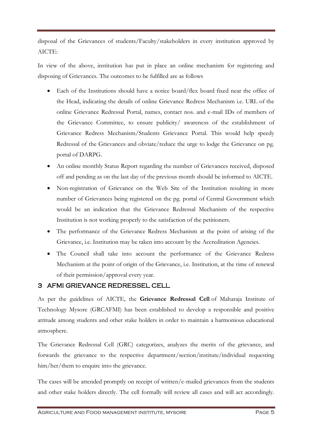disposal of the Grievances of students/Faculty/stakeholders in every institution approved by AICTE:

In view of the above, institution has put in place an online mechanism for registering and disposing of Grievances. The outcomes to be fulfilled are as follows

- Each of the Institutions should have a notice board/flex board fixed near the office of the Head, indicating the details of online Grievance Redress Mechanism i.e. URL of the online Grievance Redressal Portal, names, contact nos. and e-mail IDs of members of the Grievance Committee, to ensure publicity/ awareness of the establishment of Grievance Redress Mechanism/Students Grievance Portal. This would help speedy Redressal of the Grievances and obviate/reduce the urge to lodge the Grievance on pg. portal of DARPG.
- An online monthly Status Report regarding the number of Grievances received, disposed off and pending as on the last day of the previous month should be informed to AICTE.
- Non-registration of Grievance on the Web Site of the Institution resulting in more number of Grievances being registered on the pg. portal of Central Government which would be an indication that the Grievance Redressal Mechanism of the respective Institution is not working properly to the satisfaction of the petitioners.
- The performance of the Grievance Redress Mechanism at the point of arising of the Grievance, i.e. Institution may be taken into account by the Accreditation Agencies.
- The Council shall take into account the performance of the Grievance Redress Mechanism at the point of origin of the Grievance, i.e. Institution, at the time of renewal of their permission/approval every year.

#### 3 AFMI GRIEVANCE REDRESSEL CELL

As per the guidelines of AICTE, the **Grievance Redressal Cell** of Maharaja Institute of Technology Mysore (GRCAFMI) has been established to develop a responsible and positive attitude among students and other stake holders in order to maintain a harmonious educational atmosphere.

The Grievance Redressal Cell (GRC) categorizes, analyzes the merits of the grievance, and forwards the grievance to the respective department/section/institute/individual requesting him/her/them to enquire into the grievance.

The cases will be attended promptly on receipt of written/e-mailed grievances from the students and other stake holders directly. The cell formally will review all cases and will act accordingly.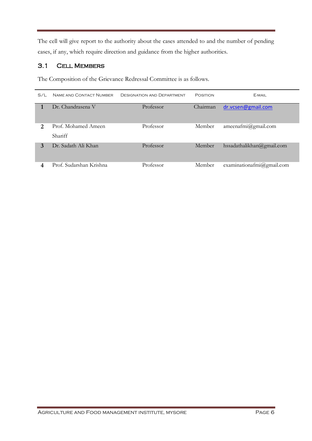The cell will give report to the authority about the cases attended to and the number of pending cases, if any, which require direction and guidance from the higher authorities.

#### 3.1 Cell Members

The Composition of the Grievance Redressal Committee is as follows.

| $S/I$ . | NAME AND CONTACT NUMBER               | <b>DESIGNATION AND DEPARTMENT</b> | POSITION | F-MAIL.                       |
|---------|---------------------------------------|-----------------------------------|----------|-------------------------------|
|         | Dr. Chandrasena V                     | Professor                         | Chairman | dr.vcsen@gmail.com            |
| 2       | Prof. Mohamed Ameen<br><b>Shariff</b> | Professor                         | Member   | $ameenafmi(\omega)$ gmail.com |
| 3       | Dr. Sadath Ali Khan                   | Professor                         | Member   | hssadathalikhan@gmail.com     |
|         | Prof. Sudarshan Krishna               | Professor                         | Member   | examinationafmi@gmail.com     |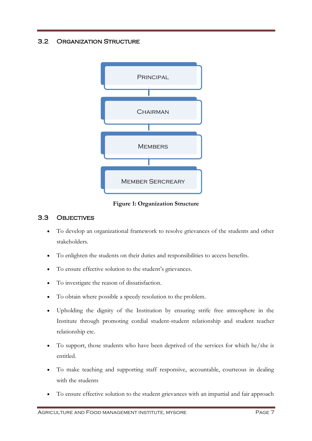#### 3.2 Organization Structure



**Figure 1: Organization Structure**

#### 3.3 Objectives

- To develop an organizational framework to resolve grievances of the students and other stakeholders.
- To enlighten the students on their duties and responsibilities to access benefits.
- To ensure effective solution to the student's grievances.
- To investigate the reason of dissatisfaction.
- To obtain where possible a speedy resolution to the problem.
- Upholding the dignity of the Institution by ensuring strife free atmosphere in the Institute through promoting cordial student-student relationship and student teacher relationship etc.
- To support, those students who have been deprived of the services for which he/she is entitled.
- To make teaching and supporting staff responsive, accountable, courteous in dealing with the students
- To ensure effective solution to the student grievances with an impartial and fair approach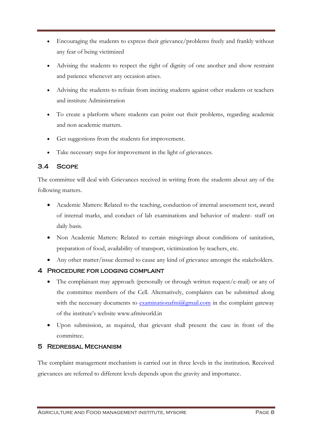- Encouraging the students to express their grievance/problems freely and frankly without any fear of being victimized
- Advising the students to respect the right of dignity of one another and show restraint and patience whenever any occasion arises.
- Advising the students to refrain from inciting students against other students or teachers and institute Administration
- To create a platform where students can point out their problems, regarding academic and non academic matters.
- Get suggestions from the students for improvement.
- Take necessary steps for improvement in the light of grievances.

#### 3.4 Scope

The committee will deal with Grievances received in writing from the students about any of the following matters.

- Academic Matters: Related to the teaching, conduction of internal assessment test, award of internal marks, and conduct of lab examinations and behavior of student- staff on daily basis.
- Non Academic Matters: Related to certain misgivings about conditions of sanitation, preparation of food, availability of transport, victimization by teachers, etc.
- Any other matter/issue deemed to cause any kind of grievance amongst the stakeholders.

#### 4 Procedure for lodging complaint

- The complainant may approach (personally or through written request/e-mail) or any of the committee members of the Cell. Alternatively, complaints can be submitted along with the necessary documents to [examinationafmi@gmail.com](mailto:examinationafmi@gmail.com) in the complaint gateway of the institute's website www.afmiworld.in
- Upon submission, as required, that grievant shall present the case in front of the committee.

#### 5 Redressal Mechanism

The complaint management mechanism is carried out in three levels in the institution. Received grievances are referred to different levels depends upon the gravity and importance.